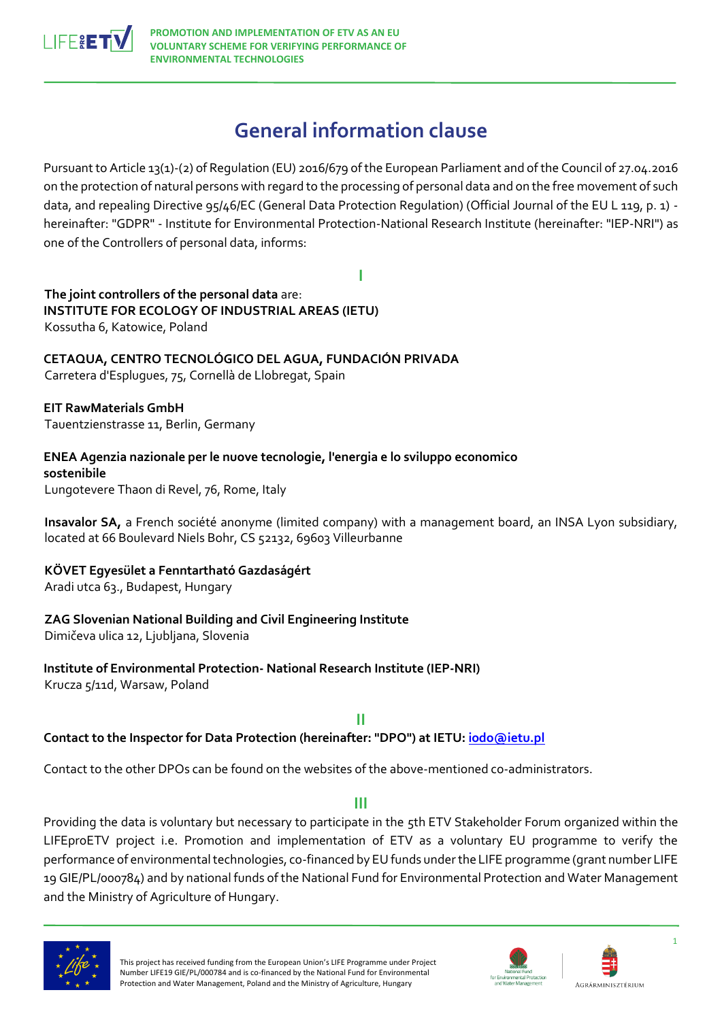

# **General information clause**

Pursuant to Article 13(1)-(2) of Regulation (EU) 2016/679 of the European Parliament and of the Council of 27.04.2016 on the protection of natural persons with regard to the processing of personal data and on the free movement of such data, and repealing Directive 95/46/EC (General Data Protection Regulation) (Official Journal of the EU L 119, p. 1) hereinafter: "GDPR" - Institute for Environmental Protection-National Research Institute (hereinafter: "IEP-NRI") as one of the Controllers of personal data, informs:

**I**

**The joint controllers of the personal data** are: **INSTITUTE FOR ECOLOGY OF INDUSTRIAL AREAS (IETU)**  Kossutha 6, Katowice, Poland

**CETAQUA, CENTRO TECNOLÓGICO DEL AGUA, FUNDACIÓN PRIVADA**  Carretera d'Esplugues, 75, Cornellà de Llobregat, Spain

**EIT RawMaterials GmbH**  Tauentzienstrasse 11, Berlin, Germany

**ENEA Agenzia nazionale per le nuove tecnologie, l'energia e lo sviluppo economico sostenibile**  Lungotevere Thaon di Revel, 76, Rome, Italy

**Insavalor SA,** a French société anonyme (limited company) with a management board, an INSA Lyon subsidiary, located at 66 Boulevard Niels Bohr, CS 52132, 69603 Villeurbanne

**KÖVET Egyesület a Fenntartható Gazdaságért** Aradi utca 63., Budapest, Hungary

## **ZAG Slovenian National Building and Civil Engineering Institute**

Dimičeva ulica 12, Ljubljana, Slovenia

**Institute of Environmental Protection- National Research Institute (IEP-NRI)**  Krucza 5/11d, Warsaw, Poland

**II Contact to the Inspector for Data Protection (hereinafter: "DPO") at IETU[: iodo@ietu.pl](mailto:iodo@ietu.pl)**

Contact to the other DPOs can be found on the websites of the above-mentioned co-administrators.

## **III**

Providing the data is voluntary but necessary to participate in the 5th ETV Stakeholder Forum organized within the LIFEproETV project i.e. Promotion and implementation of ETV as a voluntary EU programme to verify the performance of environmental technologies, co-financed by EU funds under the LIFE programme (grant number LIFE 19 GIE/PL/000784) and by national funds of the National Fund for Environmental Protection and Water Management and the Ministry of Agriculture of Hungary.



This project has received funding from the European Union's LIFE Programme under Project Number LIFE19 GIE/PL/000784 and is co-financed by the National Fund for Environmental Protection and Water Management, Poland and the Ministry of Agriculture, Hungary